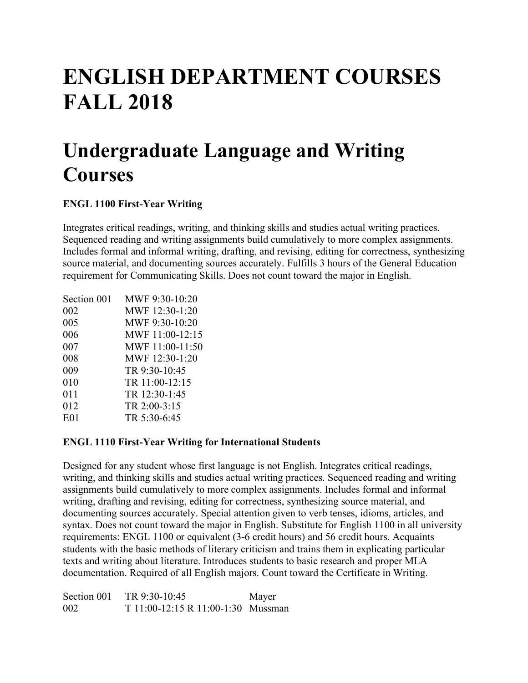# **ENGLISH DEPARTMENT COURSES FALL 2018**

## **Undergraduate Language and Writing Courses**

## **ENGL 1100 First-Year Writing**

Integrates critical readings, writing, and thinking skills and studies actual writing practices. Sequenced reading and writing assignments build cumulatively to more complex assignments. Includes formal and informal writing, drafting, and revising, editing for correctness, synthesizing source material, and documenting sources accurately. Fulfills 3 hours of the General Education requirement for Communicating Skills. Does not count toward the major in English.

| Section 001     | MWF 9:30-10:20  |
|-----------------|-----------------|
| 002             | MWF 12:30-1:20  |
| 005             | MWF 9:30-10:20  |
| 006             | MWF 11:00-12:15 |
| 007             | MWF 11:00-11:50 |
| 008             | MWF 12:30-1:20  |
| 009             | TR 9:30-10:45   |
| 010             | TR 11:00-12:15  |
| 011             | TR 12:30-1:45   |
| 012             | TR 2:00-3:15    |
| E <sub>01</sub> | TR 5:30-6:45    |

#### **ENGL 1110 First-Year Writing for International Students**

Designed for any student whose first language is not English. Integrates critical readings, writing, and thinking skills and studies actual writing practices. Sequenced reading and writing assignments build cumulatively to more complex assignments. Includes formal and informal writing, drafting and revising, editing for correctness, synthesizing source material, and documenting sources accurately. Special attention given to verb tenses, idioms, articles, and syntax. Does not count toward the major in English. Substitute for English 1100 in all university requirements: ENGL 1100 or equivalent (3-6 credit hours) and 56 credit hours. Acquaints students with the basic methods of literary criticism and trains them in explicating particular texts and writing about literature. Introduces students to basic research and proper MLA documentation. Required of all English majors. Count toward the Certificate in Writing.

Section 001 TR 9:30-10:45 Mayer 002 T 11:00-12:15 R 11:00-1:30 Mussman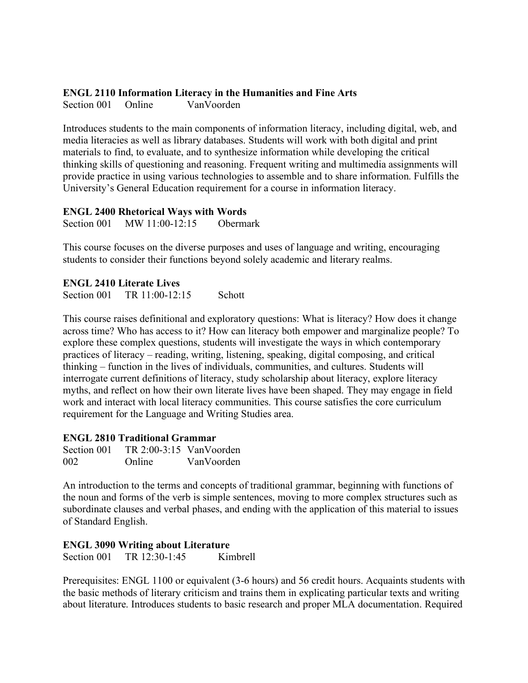#### **ENGL 2110 Information Literacy in the Humanities and Fine Arts**

Section 001 Online VanVoorden

Introduces students to the main components of information literacy, including digital, web, and media literacies as well as library databases. Students will work with both digital and print materials to find, to evaluate, and to synthesize information while developing the critical thinking skills of questioning and reasoning. Frequent writing and multimedia assignments will provide practice in using various technologies to assemble and to share information. Fulfills the University's General Education requirement for a course in information literacy.

#### **ENGL 2400 Rhetorical Ways with Words**

Section 001 MW 11:00-12:15 Obermark

This course focuses on the diverse purposes and uses of language and writing, encouraging students to consider their functions beyond solely academic and literary realms.

#### **ENGL 2410 Literate Lives**

Section 001 TR 11:00-12:15 Schott

This course raises definitional and exploratory questions: What is literacy? How does it change across time? Who has access to it? How can literacy both empower and marginalize people? To explore these complex questions, students will investigate the ways in which contemporary practices of literacy – reading, writing, listening, speaking, digital composing, and critical thinking – function in the lives of individuals, communities, and cultures. Students will interrogate current definitions of literacy, study scholarship about literacy, explore literacy myths, and reflect on how their own literate lives have been shaped. They may engage in field work and interact with local literacy communities. This course satisfies the core curriculum requirement for the Language and Writing Studies area.

#### **ENGL 2810 Traditional Grammar**

| Section 001 | $TR 2:00-3:15$ VanVoorden |            |
|-------------|---------------------------|------------|
| 002         | Online                    | VanVoorden |

An introduction to the terms and concepts of traditional grammar, beginning with functions of the noun and forms of the verb is simple sentences, moving to more complex structures such as subordinate clauses and verbal phases, and ending with the application of this material to issues of Standard English.

#### **ENGL 3090 Writing about Literature**

Section 001 TR  $12:30-1:45$  Kimbrell

Prerequisites: ENGL 1100 or equivalent (3-6 hours) and 56 credit hours. Acquaints students with the basic methods of literary criticism and trains them in explicating particular texts and writing about literature. Introduces students to basic research and proper MLA documentation. Required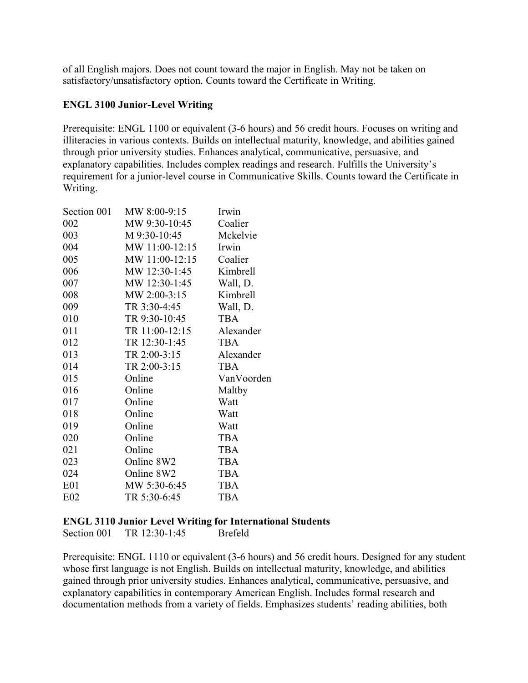of all English majors. Does not count toward the major in English. May not be taken on satisfactory/unsatisfactory option. Counts toward the Certificate in Writing.

### **ENGL 3100 Junior-Level Writing**

Prerequisite: ENGL 1100 or equivalent (3-6 hours) and 56 credit hours. Focuses on writing and illiteracies in various contexts. Builds on intellectual maturity, knowledge, and abilities gained through prior university studies. Enhances analytical, communicative, persuasive, and explanatory capabilities. Includes complex readings and research. Fulfills the University's requirement for a junior-level course in Communicative Skills. Counts toward the Certificate in Writing.

| Section 001 | MW 8:00-9:15   | Irwin      |
|-------------|----------------|------------|
| 002         | MW 9:30-10:45  | Coalier    |
| 003         | M 9:30-10:45   | Mckelvie   |
| 004         | MW 11:00-12:15 | Irwin      |
| 005         | MW 11:00-12:15 | Coalier    |
| 006         | MW 12:30-1:45  | Kimbrell   |
| 007         | MW 12:30-1:45  | Wall, D.   |
| 008         | MW 2:00-3:15   | Kimbrell   |
| 009         | TR 3:30-4:45   | Wall, D.   |
| 010         | TR 9:30-10:45  | <b>TBA</b> |
| 011         | TR 11:00-12:15 | Alexander  |
| 012         | TR 12:30-1:45  | <b>TBA</b> |
| 013         | TR 2:00-3:15   | Alexander  |
| 014         | TR 2:00-3:15   | <b>TBA</b> |
| 015         | Online         | VanVoorden |
| 016         | Online         | Maltby     |
| 017         | Online         | Watt       |
| 018         | Online         | Watt       |
| 019         | Online         | Watt       |
| 020         | Online         | <b>TBA</b> |
| 021         | Online         | <b>TBA</b> |
| 023         | Online 8W2     | <b>TBA</b> |
| 024         | Online 8W2     | <b>TBA</b> |
| E01         | MW 5:30-6:45   | <b>TBA</b> |
| E02         | TR 5:30-6:45   | <b>TBA</b> |
|             |                |            |

#### **ENGL 3110 Junior Level Writing for International Students**

Section 001 TR 12:30-1:45 Brefeld

Prerequisite: ENGL 1110 or equivalent (3-6 hours) and 56 credit hours. Designed for any student whose first language is not English. Builds on intellectual maturity, knowledge, and abilities gained through prior university studies. Enhances analytical, communicative, persuasive, and explanatory capabilities in contemporary American English. Includes formal research and documentation methods from a variety of fields. Emphasizes students' reading abilities, both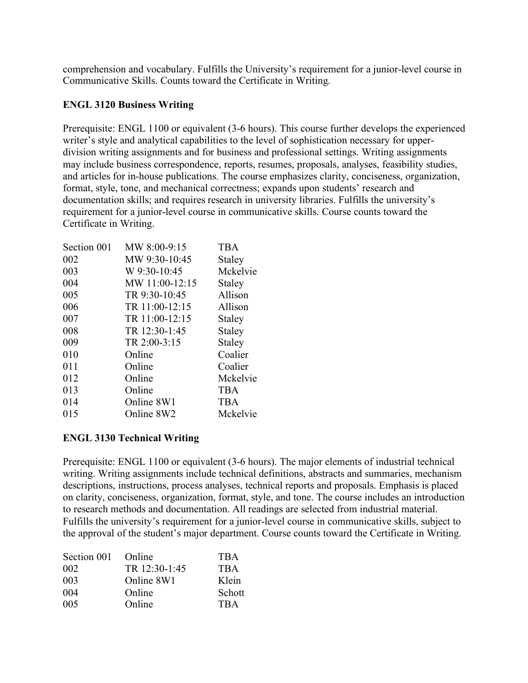comprehension and vocabulary. Fulfills the University's requirement for a junior-level course in Communicative Skills. Counts toward the Certificate in Writing.

## **ENGL 3120 Business Writing**

Prerequisite: ENGL 1100 or equivalent (3-6 hours). This course further develops the experienced writer's style and analytical capabilities to the level of sophistication necessary for upperdivision writing assignments and for business and professional settings. Writing assignments may include business correspondence, reports, resumes, proposals, analyses, feasibility studies, and articles for in-house publications. The course emphasizes clarity, conciseness, organization, format, style, tone, and mechanical correctness; expands upon students' research and documentation skills; and requires research in university libraries. Fulfills the university's requirement for a junior-level course in communicative skills. Course counts toward the Certificate in Writing.

| Section 001 | MW 8:00-9:15   | <b>TBA</b> |
|-------------|----------------|------------|
| 002         | MW 9:30-10:45  | Staley     |
| 003         | W 9:30-10:45   | Mckelvie   |
| 004         | MW 11:00-12:15 | Staley     |
| 005         | TR 9:30-10:45  | Allison    |
| 006         | TR 11:00-12:15 | Allison    |
| 007         | TR 11:00-12:15 | Staley     |
| 008         | TR 12:30-1:45  | Staley     |
| 009         | TR 2:00-3:15   | Staley     |
| 010         | Online         | Coalier    |
| 011         | Online         | Coalier    |
| 012         | Online         | Mckelvie   |
| 013         | Online         | <b>TBA</b> |
| 014         | Online 8W1     | <b>TBA</b> |
| 015         | Online 8W2     | Mckelvie   |

## **ENGL 3130 Technical Writing**

Prerequisite: ENGL 1100 or equivalent (3-6 hours). The major elements of industrial technical writing. Writing assignments include technical definitions, abstracts and summaries, mechanism descriptions, instructions, process analyses, technical reports and proposals. Emphasis is placed on clarity, conciseness, organization, format, style, and tone. The course includes an introduction to research methods and documentation. All readings are selected from industrial material. Fulfills the university's requirement for a junior-level course in communicative skills, subject to the approval of the student's major department. Course counts toward the Certificate in Writing.

| Section 001 | Online        | <b>TBA</b> |
|-------------|---------------|------------|
| 002         | TR 12:30-1:45 | <b>TRA</b> |
| 003         | Online 8W1    | Klein      |
| 004         | Online        | Schott     |
| 005         | Online        | <b>TRA</b> |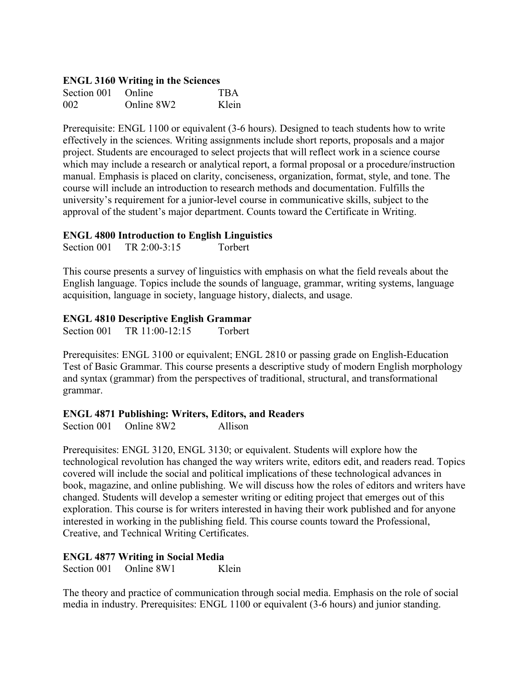#### **ENGL 3160 Writing in the Sciences**

| Section 001 Online |            | <b>TBA</b> |
|--------------------|------------|------------|
| 002                | Online 8W2 | Klein      |

Prerequisite: ENGL 1100 or equivalent (3-6 hours). Designed to teach students how to write effectively in the sciences. Writing assignments include short reports, proposals and a major project. Students are encouraged to select projects that will reflect work in a science course which may include a research or analytical report, a formal proposal or a procedure/instruction manual. Emphasis is placed on clarity, conciseness, organization, format, style, and tone. The course will include an introduction to research methods and documentation. Fulfills the university's requirement for a junior-level course in communicative skills, subject to the approval of the student's major department. Counts toward the Certificate in Writing.

#### **ENGL 4800 Introduction to English Linguistics**

Section 001 TR 2:00-3:15 Torbert

This course presents a survey of linguistics with emphasis on what the field reveals about the English language. Topics include the sounds of language, grammar, writing systems, language acquisition, language in society, language history, dialects, and usage.

### **ENGL 4810 Descriptive English Grammar**

Section 001 TR 11:00-12:15 Torbert

Prerequisites: ENGL 3100 or equivalent; ENGL 2810 or passing grade on English-Education Test of Basic Grammar. This course presents a descriptive study of modern English morphology and syntax (grammar) from the perspectives of traditional, structural, and transformational grammar.

## **ENGL 4871 Publishing: Writers, Editors, and Readers**

Section 001 Online 8W2 Allison

Prerequisites: ENGL 3120, ENGL 3130; or equivalent. Students will explore how the technological revolution has changed the way writers write, editors edit, and readers read. Topics covered will include the social and political implications of these technological advances in book, magazine, and online publishing. We will discuss how the roles of editors and writers have changed. Students will develop a semester writing or editing project that emerges out of this exploration. This course is for writers interested in having their work published and for anyone interested in working in the publishing field. This course counts toward the Professional, Creative, and Technical Writing Certificates.

## **ENGL 4877 Writing in Social Media**

Section 001 Online 8W1 Klein

The theory and practice of communication through social media. Emphasis on the role of social media in industry. Prerequisites: ENGL 1100 or equivalent (3-6 hours) and junior standing.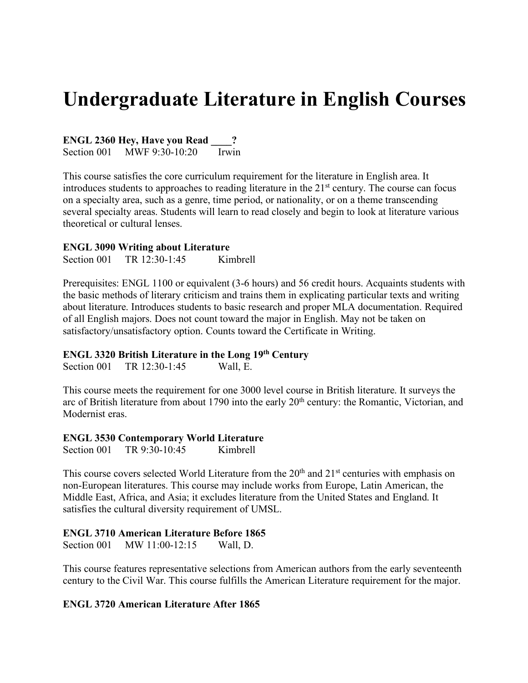## **Undergraduate Literature in English Courses**

**ENGL 2360 Hey, Have you Read \_\_\_\_?** Section 001 MWF 9:30-10:20 Irwin

This course satisfies the core curriculum requirement for the literature in English area. It introduces students to approaches to reading literature in the 21<sup>st</sup> century. The course can focus on a specialty area, such as a genre, time period, or nationality, or on a theme transcending several specialty areas. Students will learn to read closely and begin to look at literature various theoretical or cultural lenses.

#### **ENGL 3090 Writing about Literature**

Section 001 TR 12:30-1:45 Kimbrell

Prerequisites: ENGL 1100 or equivalent (3-6 hours) and 56 credit hours. Acquaints students with the basic methods of literary criticism and trains them in explicating particular texts and writing about literature. Introduces students to basic research and proper MLA documentation. Required of all English majors. Does not count toward the major in English. May not be taken on satisfactory/unsatisfactory option. Counts toward the Certificate in Writing.

#### **ENGL 3320 British Literature in the Long 19th Century**

Section 001 TR 12:30-1:45 Wall, E.

This course meets the requirement for one 3000 level course in British literature. It surveys the arc of British literature from about 1790 into the early 20<sup>th</sup> century: the Romantic, Victorian, and Modernist eras.

#### **ENGL 3530 Contemporary World Literature**

Section 001 TR 9:30-10:45 Kimbrell

This course covers selected World Literature from the 20<sup>th</sup> and 21<sup>st</sup> centuries with emphasis on non-European literatures. This course may include works from Europe, Latin American, the Middle East, Africa, and Asia; it excludes literature from the United States and England. It satisfies the cultural diversity requirement of UMSL.

#### **ENGL 3710 American Literature Before 1865**

Section 001 MW 11:00-12:15 Wall, D.

This course features representative selections from American authors from the early seventeenth century to the Civil War. This course fulfills the American Literature requirement for the major.

#### **ENGL 3720 American Literature After 1865**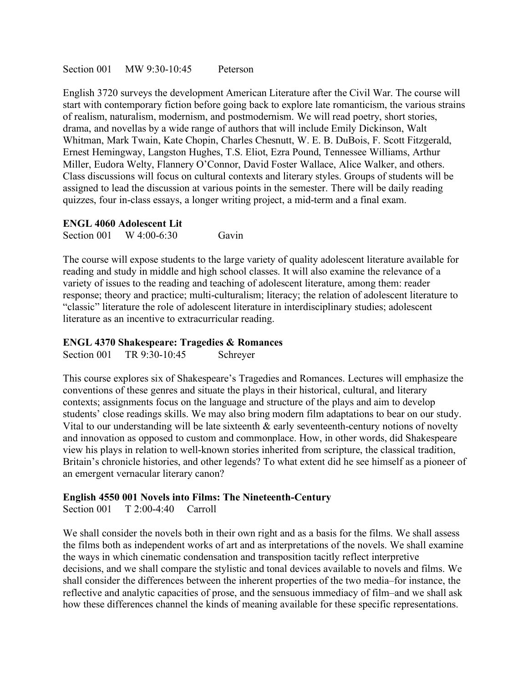Section 001 MW 9:30-10:45 Peterson

English 3720 surveys the development American Literature after the Civil War. The course will start with contemporary fiction before going back to explore late romanticism, the various strains of realism, naturalism, modernism, and postmodernism. We will read poetry, short stories, drama, and novellas by a wide range of authors that will include Emily Dickinson, Walt Whitman, Mark Twain, Kate Chopin, Charles Chesnutt, W. E. B. DuBois, F. Scott Fitzgerald, Ernest Hemingway, Langston Hughes, T.S. Eliot, Ezra Pound, Tennessee Williams, Arthur Miller, Eudora Welty, Flannery O'Connor, David Foster Wallace, Alice Walker, and others. Class discussions will focus on cultural contexts and literary styles. Groups of students will be assigned to lead the discussion at various points in the semester. There will be daily reading quizzes, four in-class essays, a longer writing project, a mid-term and a final exam.

#### **ENGL 4060 Adolescent Lit**

Section 001 W 4:00-6:30 Gavin

The course will expose students to the large variety of quality adolescent literature available for reading and study in middle and high school classes. It will also examine the relevance of a variety of issues to the reading and teaching of adolescent literature, among them: reader response; theory and practice; multi-culturalism; literacy; the relation of adolescent literature to "classic" literature the role of adolescent literature in interdisciplinary studies; adolescent literature as an incentive to extracurricular reading.

#### **ENGL 4370 Shakespeare: Tragedies & Romances**

Section 001 TR 9:30-10:45 Schreyer

This course explores six of Shakespeare's Tragedies and Romances. Lectures will emphasize the conventions of these genres and situate the plays in their historical, cultural, and literary contexts; assignments focus on the language and structure of the plays and aim to develop students' close readings skills. We may also bring modern film adaptations to bear on our study. Vital to our understanding will be late sixteenth  $\&$  early seventeenth-century notions of novelty and innovation as opposed to custom and commonplace. How, in other words, did Shakespeare view his plays in relation to well-known stories inherited from scripture, the classical tradition, Britain's chronicle histories, and other legends? To what extent did he see himself as a pioneer of an emergent vernacular literary canon?

#### **English 4550 001 Novels into Films: The Nineteenth-Century**

Section 001 T 2:00-4:40 Carroll

We shall consider the novels both in their own right and as a basis for the films. We shall assess the films both as independent works of art and as interpretations of the novels. We shall examine the ways in which cinematic condensation and transposition tacitly reflect interpretive decisions, and we shall compare the stylistic and tonal devices available to novels and films. We shall consider the differences between the inherent properties of the two media–for instance, the reflective and analytic capacities of prose, and the sensuous immediacy of film–and we shall ask how these differences channel the kinds of meaning available for these specific representations.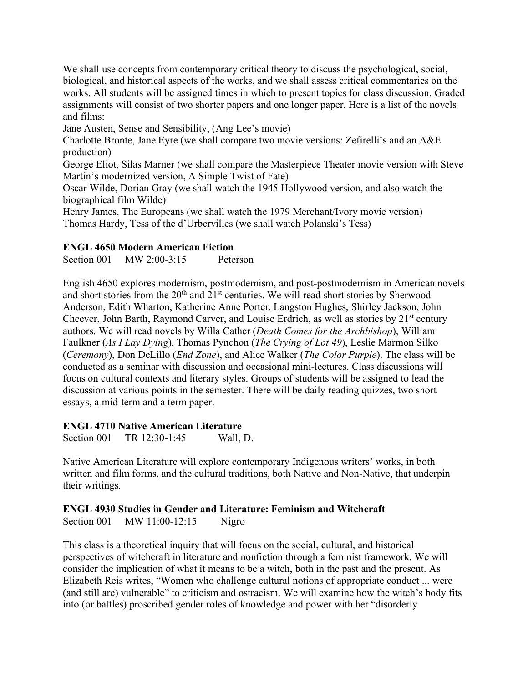We shall use concepts from contemporary critical theory to discuss the psychological, social, biological, and historical aspects of the works, and we shall assess critical commentaries on the works. All students will be assigned times in which to present topics for class discussion. Graded assignments will consist of two shorter papers and one longer paper. Here is a list of the novels and films:

Jane Austen, Sense and Sensibility, (Ang Lee's movie)

Charlotte Bronte, Jane Eyre (we shall compare two movie versions: Zefirelli's and an A&E production)

George Eliot, Silas Marner (we shall compare the Masterpiece Theater movie version with Steve Martin's modernized version, A Simple Twist of Fate)

Oscar Wilde, Dorian Gray (we shall watch the 1945 Hollywood version, and also watch the biographical film Wilde)

Henry James, The Europeans (we shall watch the 1979 Merchant/Ivory movie version) Thomas Hardy, Tess of the d'Urbervilles (we shall watch Polanski's Tess)

#### **ENGL 4650 Modern American Fiction**

Section 001 MW 2:00-3:15 Peterson

English 4650 explores modernism, postmodernism, and post-postmodernism in American novels and short stories from the 20th and 21st centuries. We will read short stories by Sherwood Anderson, Edith Wharton, Katherine Anne Porter, Langston Hughes, Shirley Jackson, John Cheever, John Barth, Raymond Carver, and Louise Erdrich, as well as stories by 21st century authors. We will read novels by Willa Cather (*Death Comes for the Archbishop*), William Faulkner (*As I Lay Dying*), Thomas Pynchon (*The Crying of Lot 49*), Leslie Marmon Silko (*Ceremony*), Don DeLillo (*End Zone*), and Alice Walker (*The Color Purple*). The class will be conducted as a seminar with discussion and occasional mini-lectures. Class discussions will focus on cultural contexts and literary styles. Groups of students will be assigned to lead the discussion at various points in the semester. There will be daily reading quizzes, two short essays, a mid-term and a term paper.

#### **ENGL 4710 Native American Literature**

Section 001 TR 12:30-1:45 Wall, D.

Native American Literature will explore contemporary Indigenous writers' works, in both written and film forms, and the cultural traditions, both Native and Non-Native, that underpin their writings.

## **ENGL 4930 Studies in Gender and Literature: Feminism and Witchcraft**

Section 001 MW 11:00-12:15 Nigro

This class is a theoretical inquiry that will focus on the social, cultural, and historical perspectives of witchcraft in literature and nonfiction through a feminist framework. We will consider the implication of what it means to be a witch, both in the past and the present. As Elizabeth Reis writes, "Women who challenge cultural notions of appropriate conduct ... were (and still are) vulnerable" to criticism and ostracism. We will examine how the witch's body fits into (or battles) proscribed gender roles of knowledge and power with her "disorderly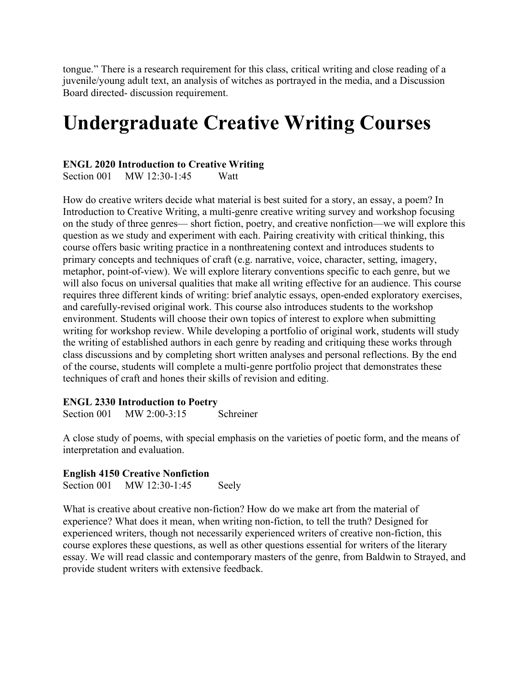tongue." There is a research requirement for this class, critical writing and close reading of a juvenile/young adult text, an analysis of witches as portrayed in the media, and a Discussion Board directed- discussion requirement.

## **Undergraduate Creative Writing Courses**

#### **ENGL 2020 Introduction to Creative Writing**

Section 001 MW 12:30-1:45 Watt

How do creative writers decide what material is best suited for a story, an essay, a poem? In Introduction to Creative Writing, a multi-genre creative writing survey and workshop focusing on the study of three genres— short fiction, poetry, and creative nonfiction—we will explore this question as we study and experiment with each. Pairing creativity with critical thinking, this course offers basic writing practice in a nonthreatening context and introduces students to primary concepts and techniques of craft (e.g. narrative, voice, character, setting, imagery, metaphor, point-of-view). We will explore literary conventions specific to each genre, but we will also focus on universal qualities that make all writing effective for an audience. This course requires three different kinds of writing: brief analytic essays, open-ended exploratory exercises, and carefully-revised original work. This course also introduces students to the workshop environment. Students will choose their own topics of interest to explore when submitting writing for workshop review. While developing a portfolio of original work, students will study the writing of established authors in each genre by reading and critiquing these works through class discussions and by completing short written analyses and personal reflections. By the end of the course, students will complete a multi-genre portfolio project that demonstrates these techniques of craft and hones their skills of revision and editing.

#### **ENGL 2330 Introduction to Poetry**

Section 001 MW 2:00-3:15 Schreiner

A close study of poems, with special emphasis on the varieties of poetic form, and the means of interpretation and evaluation.

#### **English 4150 Creative Nonfiction**

Section 001 MW 12:30-1:45 Seely

What is creative about creative non-fiction? How do we make art from the material of experience? What does it mean, when writing non-fiction, to tell the truth? Designed for experienced writers, though not necessarily experienced writers of creative non-fiction, this course explores these questions, as well as other questions essential for writers of the literary essay. We will read classic and contemporary masters of the genre, from Baldwin to Strayed, and provide student writers with extensive feedback.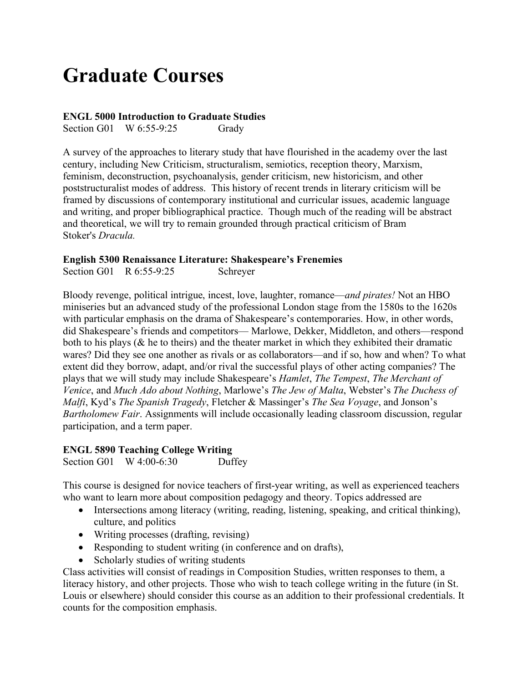## **Graduate Courses**

#### **ENGL 5000 Introduction to Graduate Studies**

Section G01 W 6:55-9:25 Grady

A survey of the approaches to literary study that have flourished in the academy over the last century, including New Criticism, structuralism, semiotics, reception theory, Marxism, feminism, deconstruction, psychoanalysis, gender criticism, new historicism, and other poststructuralist modes of address. This history of recent trends in literary criticism will be framed by discussions of contemporary institutional and curricular issues, academic language and writing, and proper bibliographical practice. Though much of the reading will be abstract and theoretical, we will try to remain grounded through practical criticism of Bram Stoker's *Dracula.*

#### **English 5300 Renaissance Literature: Shakespeare's Frenemies**

Section G01 R 6:55-9:25 Schreyer

Bloody revenge, political intrigue, incest, love, laughter, romance—*and pirates!* Not an HBO miniseries but an advanced study of the professional London stage from the 1580s to the 1620s with particular emphasis on the drama of Shakespeare's contemporaries. How, in other words, did Shakespeare's friends and competitors— Marlowe, Dekker, Middleton, and others—respond both to his plays ( $\&$  he to theirs) and the theater market in which they exhibited their dramatic wares? Did they see one another as rivals or as collaborators—and if so, how and when? To what extent did they borrow, adapt, and/or rival the successful plays of other acting companies? The plays that we will study may include Shakespeare's *Hamlet*, *The Tempest*, *The Merchant of Venice*, and *Much Ado about Nothing*, Marlowe's *The Jew of Malta*, Webster's *The Duchess of Malfi*, Kyd's *The Spanish Tragedy*, Fletcher & Massinger's *The Sea Voyage*, and Jonson's *Bartholomew Fair*. Assignments will include occasionally leading classroom discussion, regular participation, and a term paper.

#### **ENGL 5890 Teaching College Writing**

Section G01  $\,$  W 4:00-6:30  $\,$  Duffey

This course is designed for novice teachers of first-year writing, as well as experienced teachers who want to learn more about composition pedagogy and theory. Topics addressed are

- Intersections among literacy (writing, reading, listening, speaking, and critical thinking), culture, and politics
- Writing processes (drafting, revising)
- Responding to student writing (in conference and on drafts),
- Scholarly studies of writing students

Class activities will consist of readings in Composition Studies, written responses to them, a literacy history, and other projects. Those who wish to teach college writing in the future (in St. Louis or elsewhere) should consider this course as an addition to their professional credentials. It counts for the composition emphasis.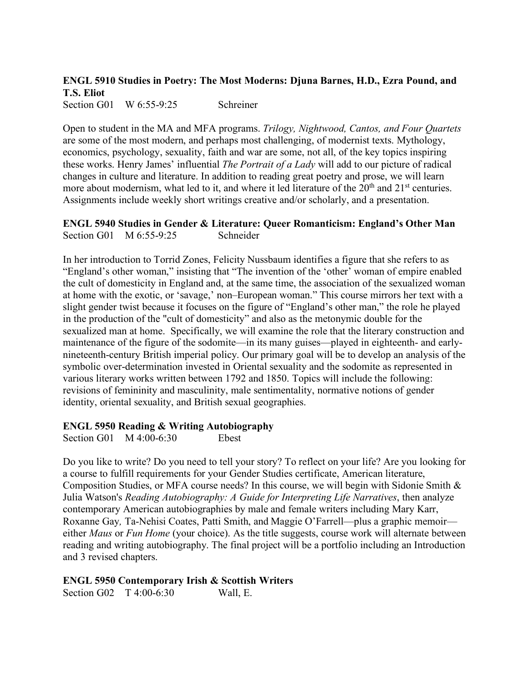## **ENGL 5910 Studies in Poetry: The Most Moderns: Djuna Barnes, H.D., Ezra Pound, and T.S. Eliot**

Section G01 W 6:55-9:25 Schreiner

Open to student in the MA and MFA programs. *Trilogy, Nightwood, Cantos, and Four Quartets* are some of the most modern, and perhaps most challenging, of modernist texts. Mythology, economics, psychology, sexuality, faith and war are some, not all, of the key topics inspiring these works. Henry James' influential *The Portrait of a Lady* will add to our picture of radical changes in culture and literature. In addition to reading great poetry and prose, we will learn more about modernism, what led to it, and where it led literature of the  $20<sup>th</sup>$  and  $21<sup>st</sup>$  centuries. Assignments include weekly short writings creative and/or scholarly, and a presentation.

### **ENGL 5940 Studies in Gender & Literature: Queer Romanticism: England's Other Man** Section G01 M 6:55-9:25 Schneider

In her introduction to Torrid Zones, Felicity Nussbaum identifies a figure that she refers to as "England's other woman," insisting that "The invention of the 'other' woman of empire enabled the cult of domesticity in England and, at the same time, the association of the sexualized woman at home with the exotic, or 'savage,' non–European woman." This course mirrors her text with a slight gender twist because it focuses on the figure of "England's other man," the role he played in the production of the "cult of domesticity" and also as the metonymic double for the sexualized man at home. Specifically, we will examine the role that the literary construction and maintenance of the figure of the sodomite—in its many guises—played in eighteenth- and earlynineteenth-century British imperial policy. Our primary goal will be to develop an analysis of the symbolic over-determination invested in Oriental sexuality and the sodomite as represented in various literary works written between 1792 and 1850. Topics will include the following: revisions of femininity and masculinity, male sentimentality, normative notions of gender identity, oriental sexuality, and British sexual geographies.

#### **ENGL 5950 Reading & Writing Autobiography**

Section G01 M 4:00-6:30 Ebest

Do you like to write? Do you need to tell your story? To reflect on your life? Are you looking for a course to fulfill requirements for your Gender Studies certificate, American literature, Composition Studies, or MFA course needs? In this course, we will begin with Sidonie Smith & Julia Watson's *Reading Autobiography: A Guide for Interpreting Life Narratives*, then analyze contemporary American autobiographies by male and female writers including Mary Karr, Roxanne Gay*,* Ta-Nehisi Coates, Patti Smith, and Maggie O'Farrell—plus a graphic memoir either *Maus* or *Fun Home* (your choice). As the title suggests, course work will alternate between reading and writing autobiography. The final project will be a portfolio including an Introduction and 3 revised chapters.

#### **ENGL 5950 Contemporary Irish & Scottish Writers**

Section G02 T 4:00-6:30 Wall, E.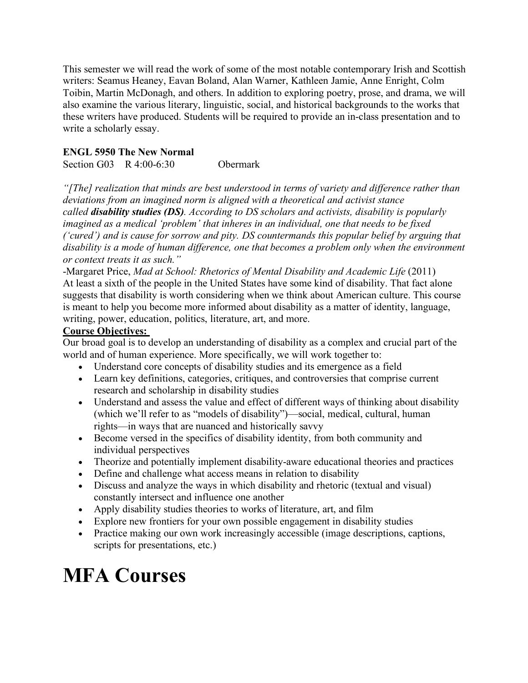This semester we will read the work of some of the most notable contemporary Irish and Scottish writers: Seamus Heaney, Eavan Boland, Alan Warner, Kathleen Jamie, Anne Enright, Colm Toibin, Martin McDonagh, and others. In addition to exploring poetry, prose, and drama, we will also examine the various literary, linguistic, social, and historical backgrounds to the works that these writers have produced. Students will be required to provide an in-class presentation and to write a scholarly essay.

## **ENGL 5950 The New Normal**

Section G03 R 4:00-6:30 Obermark

*"[The] realization that minds are best understood in terms of variety and difference rather than deviations from an imagined norm is aligned with a theoretical and activist stance called disability studies (DS). According to DS scholars and activists, disability is popularly imagined as a medical 'problem' that inheres in an individual, one that needs to be fixed ('cured') and is cause for sorrow and pity. DS countermands this popular belief by arguing that disability is a mode of human difference, one that becomes a problem only when the environment or context treats it as such."*

-Margaret Price, *Mad at School: Rhetorics of Mental Disability and Academic Life* (2011) At least a sixth of the people in the United States have some kind of disability. That fact alone suggests that disability is worth considering when we think about American culture. This course is meant to help you become more informed about disability as a matter of identity, language, writing, power, education, politics, literature, art, and more.

## **Course Objectives:**

Our broad goal is to develop an understanding of disability as a complex and crucial part of the world and of human experience. More specifically, we will work together to:

- Understand core concepts of disability studies and its emergence as a field
- Learn key definitions, categories, critiques, and controversies that comprise current research and scholarship in disability studies
- Understand and assess the value and effect of different ways of thinking about disability (which we'll refer to as "models of disability")—social, medical, cultural, human rights—in ways that are nuanced and historically savvy
- Become versed in the specifics of disability identity, from both community and individual perspectives
- Theorize and potentially implement disability-aware educational theories and practices
- Define and challenge what access means in relation to disability
- Discuss and analyze the ways in which disability and rhetoric (textual and visual) constantly intersect and influence one another
- Apply disability studies theories to works of literature, art, and film
- Explore new frontiers for your own possible engagement in disability studies
- Practice making our own work increasingly accessible (image descriptions, captions, scripts for presentations, etc.)

## **MFA Courses**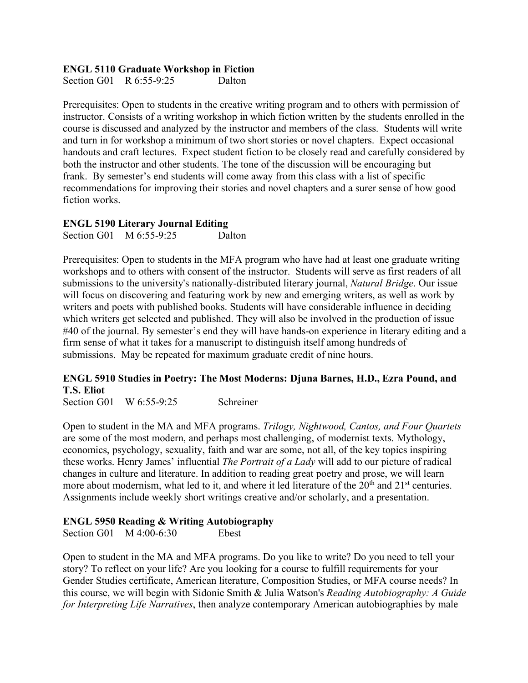### **ENGL 5110 Graduate Workshop in Fiction**

Section G01 R 6:55-9:25 Dalton

Prerequisites: Open to students in the creative writing program and to others with permission of instructor. Consists of a writing workshop in which fiction written by the students enrolled in the course is discussed and analyzed by the instructor and members of the class. Students will write and turn in for workshop a minimum of two short stories or novel chapters. Expect occasional handouts and craft lectures. Expect student fiction to be closely read and carefully considered by both the instructor and other students. The tone of the discussion will be encouraging but frank. By semester's end students will come away from this class with a list of specific recommendations for improving their stories and novel chapters and a surer sense of how good fiction works.

### **ENGL 5190 Literary Journal Editing**

Section G01 M 6:55-9:25 Dalton

Prerequisites: Open to students in the MFA program who have had at least one graduate writing workshops and to others with consent of the instructor. Students will serve as first readers of all submissions to the university's nationally-distributed literary journal, *Natural Bridge*. Our issue will focus on discovering and featuring work by new and emerging writers, as well as work by writers and poets with published books. Students will have considerable influence in deciding which writers get selected and published. They will also be involved in the production of issue #40 of the journal. By semester's end they will have hands-on experience in literary editing and a firm sense of what it takes for a manuscript to distinguish itself among hundreds of submissions. May be repeated for maximum graduate credit of nine hours.

## **ENGL 5910 Studies in Poetry: The Most Moderns: Djuna Barnes, H.D., Ezra Pound, and T.S. Eliot**

Section G01 W 6:55-9:25 Schreiner

Open to student in the MA and MFA programs. *Trilogy, Nightwood, Cantos, and Four Quartets* are some of the most modern, and perhaps most challenging, of modernist texts. Mythology, economics, psychology, sexuality, faith and war are some, not all, of the key topics inspiring these works. Henry James' influential *The Portrait of a Lady* will add to our picture of radical changes in culture and literature. In addition to reading great poetry and prose, we will learn more about modernism, what led to it, and where it led literature of the  $20<sup>th</sup>$  and  $21<sup>st</sup>$  centuries. Assignments include weekly short writings creative and/or scholarly, and a presentation.

## **ENGL 5950 Reading & Writing Autobiography**

Section G01 M 4:00-6:30 Ebest

Open to student in the MA and MFA programs. Do you like to write? Do you need to tell your story? To reflect on your life? Are you looking for a course to fulfill requirements for your Gender Studies certificate, American literature, Composition Studies, or MFA course needs? In this course, we will begin with Sidonie Smith & Julia Watson's *Reading Autobiography: A Guide for Interpreting Life Narratives*, then analyze contemporary American autobiographies by male